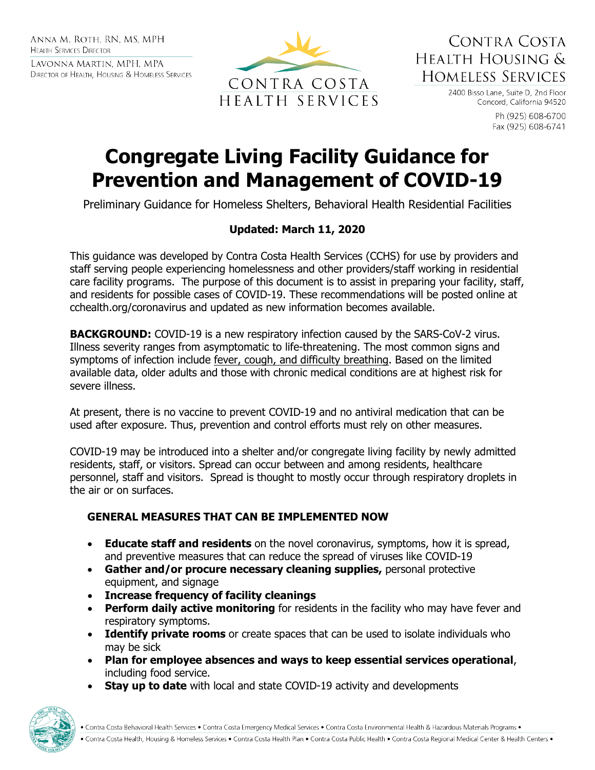ANNA M. ROTH. RN. MS. MPH **HEALTH SERVICES DIRECTOR** 

LAVONNA MARTIN, MPH, MPA DIRECTOR OF HEALTH, HOUSING & HOMELESS SERVICES



CONTRA COSTA HEALTH HOUSING & **HOMELESS SERVICES** 

> 2400 Bisso Lane, Suite D, 2nd Floor Concord, California 94520

> > Ph (925) 608-6700 Fax (925) 608-6741

# **Congregate Living Facility Guidance for Prevention and Management of COVID-19**

Preliminary Guidance for Homeless Shelters, Behavioral Health Residential Facilities

# **Updated: March 11, 2020**

This guidance was developed by Contra Costa Health Services (CCHS) for use by providers and staff serving people experiencing homelessness and other providers/staff working in residential care facility programs. The purpose of this document is to assist in preparing your facility, staff, and residents for possible cases of COVID-19. These recommendations will be posted online at cchealth.org/coronavirus and updated as new information becomes available.

**BACKGROUND:** COVID-19 is a new respiratory infection caused by the SARS-CoV-2 virus. Illness severity ranges from asymptomatic to life-threatening. The most common signs and symptoms of infection include fever, cough, and difficulty breathing. Based on the limited available data, older adults and those with chronic medical conditions are at highest risk for severe illness.

At present, there is no vaccine to prevent COVID-19 and no antiviral medication that can be used after exposure. Thus, prevention and control efforts must rely on other measures.

COVID-19 may be introduced into a shelter and/or congregate living facility by newly admitted residents, staff, or visitors. Spread can occur between and among residents, healthcare personnel, staff and visitors. Spread is thought to mostly occur through respiratory droplets in the air or on surfaces.

# **GENERAL MEASURES THAT CAN BE IMPLEMENTED NOW**

- **Educate staff and residents** on the novel coronavirus, symptoms, how it is spread, and preventive measures that can reduce the spread of viruses like COVID-19
- **Gather and/or procure necessary cleaning supplies,** personal protective equipment, and signage
- **Increase frequency of facility cleanings**
- **Perform daily active monitoring** for residents in the facility who may have fever and respiratory symptoms.
- **Identify private rooms** or create spaces that can be used to isolate individuals who may be sick
- **Plan for employee absences and ways to keep essential services operational**, including food service.
- **Stay up to date** with local and state COVID-19 activity and developments

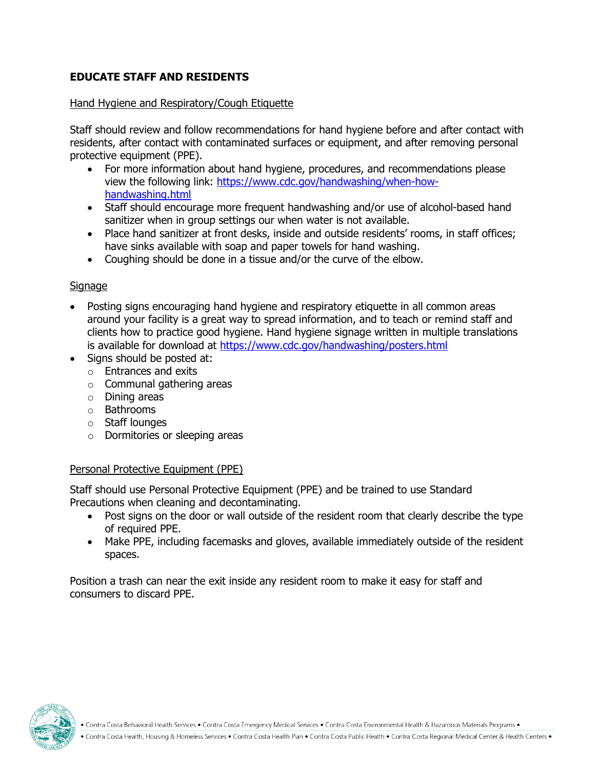## **EDUCATE STAFF AND RESIDENTS**

#### Hand Hygiene and Respiratory/Cough Etiquette

Staff should review and follow recommendations for hand hygiene before and after contact with residents, after contact with contaminated surfaces or equipment, and after removing personal protective equipment (PPE).

- For more information about hand hygiene, procedures, and recommendations please view the following link: [https://www.cdc.gov/handwashing/when-how](https://www.cdc.gov/handwashing/when-how-handwashing.html)[handwashing.html](https://www.cdc.gov/handwashing/when-how-handwashing.html)
- Staff should encourage more frequent handwashing and/or use of alcohol-based hand sanitizer when in group settings our when water is not available.
- Place hand sanitizer at front desks, inside and outside residents' rooms, in staff offices; have sinks available with soap and paper towels for hand washing.
- Coughing should be done in a tissue and/or the curve of the elbow.

#### **Signage**

- Posting signs encouraging hand hygiene and respiratory etiquette in all common areas around your facility is a great way to spread information, and to teach or remind staff and clients how to practice good hygiene. Hand hygiene signage written in multiple translations is available for download at<https://www.cdc.gov/handwashing/posters.html>
- Signs should be posted at:
	- o Entrances and exits
	- o Communal gathering areas
	- o Dining areas
	- o Bathrooms
	- o Staff lounges
	- o Dormitories or sleeping areas

## Personal Protective Equipment (PPE)

Staff should use Personal Protective Equipment (PPE) and be trained to use Standard Precautions when cleaning and decontaminating.

- Post signs on the door or wall outside of the resident room that clearly describe the type of required PPE.
- Make PPE, including facemasks and gloves, available immediately outside of the resident spaces.

Position a trash can near the exit inside any resident room to make it easy for staff and consumers to discard PPE.



• Contra Costa Behavioral Health Services • Contra Costa Emergency Medical Services • Contra Costa Environmental Health & Hazardous Materials Programs •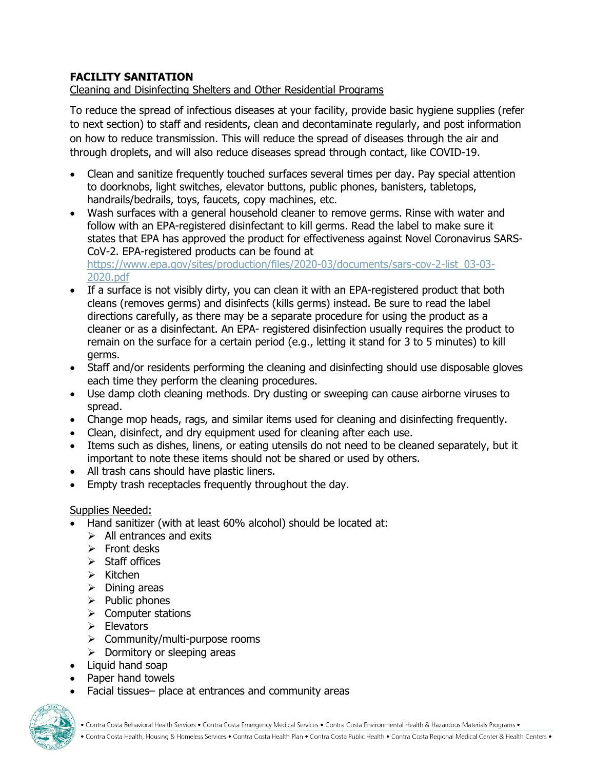# **FACILITY SANITATION**

Cleaning and Disinfecting Shelters and Other Residential Programs

To reduce the spread of infectious diseases at your facility, provide basic hygiene supplies (refer to next section) to staff and residents, clean and decontaminate regularly, and post information on how to reduce transmission. This will reduce the spread of diseases through the air and through droplets, and will also reduce diseases spread through contact, like COVID-19.

- Clean and sanitize frequently touched surfaces several times per day. Pay special attention to doorknobs, light switches, elevator buttons, public phones, banisters, tabletops, handrails/bedrails, toys, faucets, copy machines, etc.
- Wash surfaces with a general household cleaner to remove germs. Rinse with water and follow with an EPA-registered disinfectant to kill germs. Read the label to make sure it states that EPA has approved the product for effectiveness against Novel Coronavirus SARS-CoV-2. EPA-registered products can be found at [https://www.epa.gov/sites/production/files/2020-03/documents/sars-cov-2-list\\_03-03-](https://www.epa.gov/sites/production/files/2020-03/documents/sars-cov-2-list_03-03-2020.pdf) [2020.pdf](https://www.epa.gov/sites/production/files/2020-03/documents/sars-cov-2-list_03-03-2020.pdf)
- If a surface is not visibly dirty, you can clean it with an EPA-registered product that both cleans (removes germs) and disinfects (kills germs) instead. Be sure to read the label directions carefully, as there may be a separate procedure for using the product as a cleaner or as a disinfectant. An EPA- registered disinfection usually requires the product to remain on the surface for a certain period (e.g., letting it stand for 3 to 5 minutes) to kill germs.
- Staff and/or residents performing the cleaning and disinfecting should use disposable gloves each time they perform the cleaning procedures.
- Use damp cloth cleaning methods. Dry dusting or sweeping can cause airborne viruses to spread.
- Change mop heads, rags, and similar items used for cleaning and disinfecting frequently.
- Clean, disinfect, and dry equipment used for cleaning after each use.
- Items such as dishes, linens, or eating utensils do not need to be cleaned separately, but it important to note these items should not be shared or used by others.
- All trash cans should have plastic liners.
- Empty trash receptacles frequently throughout the day.

## Supplies Needed:

- Hand sanitizer (with at least 60% alcohol) should be located at:
	- $\triangleright$  All entrances and exits
	- $\triangleright$  Front desks
	- $\triangleright$  Staff offices
	- $\triangleright$  Kitchen
	- $\triangleright$  Dining areas
	- $\triangleright$  Public phones
	- $\triangleright$  Computer stations
	- $\triangleright$  Elevators
	- $\triangleright$  Community/multi-purpose rooms
	- $\triangleright$  Dormitory or sleeping areas
- Liquid hand soap
- Paper hand towels
- Facial tissues– place at entrances and community areas



. Contra Costa Health, Housing & Homeless Services . Contra Costa Health Plan . Contra Costa Public Health . Contra Costa Regional Medical Center & Health Centers .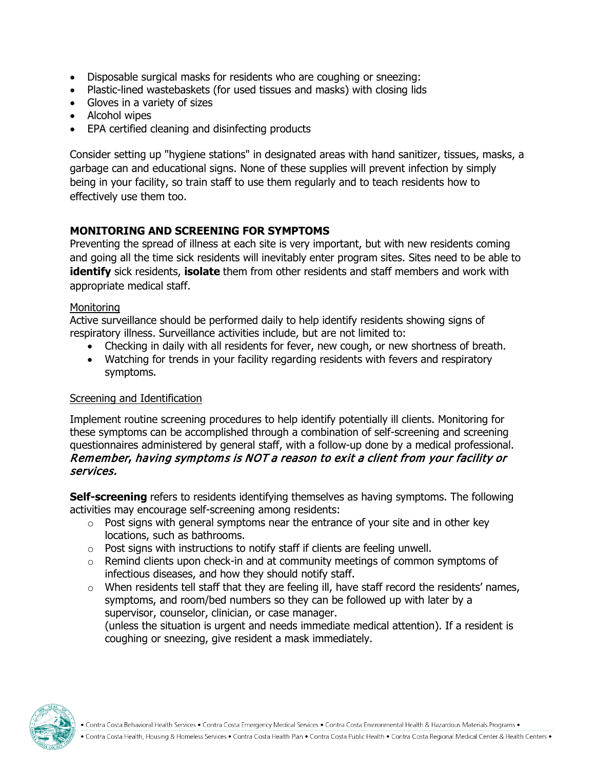- Disposable surgical masks for residents who are coughing or sneezing:
- Plastic-lined wastebaskets (for used tissues and masks) with closing lids
- Gloves in a variety of sizes
- Alcohol wipes
- EPA certified cleaning and disinfecting products

Consider setting up "hygiene stations" in designated areas with hand sanitizer, tissues, masks, a garbage can and educational signs. None of these supplies will prevent infection by simply being in your facility, so train staff to use them regularly and to teach residents how to effectively use them too.

# **MONITORING AND SCREENING FOR SYMPTOMS**

Preventing the spread of illness at each site is very important, but with new residents coming and going all the time sick residents will inevitably enter program sites. Sites need to be able to **identify** sick residents, **isolate** them from other residents and staff members and work with appropriate medical staff.

#### **Monitoring**

Active surveillance should be performed daily to help identify residents showing signs of respiratory illness. Surveillance activities include, but are not limited to:

- Checking in daily with all residents for fever, new cough, or new shortness of breath.
- Watching for trends in your facility regarding residents with fevers and respiratory symptoms.

## Screening and Identification

Implement routine screening procedures to help identify potentially ill clients. Monitoring for these symptoms can be accomplished through a combination of self-screening and screening questionnaires administered by general staff, with a follow-up done by a medical professional. Remember**,** having symptoms is NOT a reason to exit a client from your facility or services.

**Self-screening** refers to residents identifying themselves as having symptoms. The following activities may encourage self-screening among residents:

- $\circ$  Post signs with general symptoms near the entrance of your site and in other key locations, such as bathrooms.
- $\circ$  Post signs with instructions to notify staff if clients are feeling unwell.
- o Remind clients upon check-in and at community meetings of common symptoms of infectious diseases, and how they should notify staff.
- $\circ$  When residents tell staff that they are feeling ill, have staff record the residents' names, symptoms, and room/bed numbers so they can be followed up with later by a supervisor, counselor, clinician, or case manager.

(unless the situation is urgent and needs immediate medical attention). If a resident is coughing or sneezing, give resident a mask immediately.

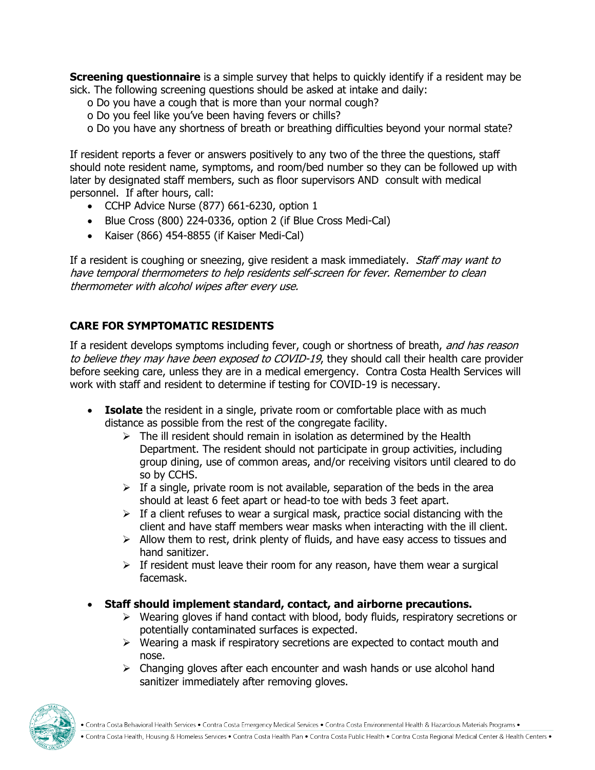**Screening questionnaire** is a simple survey that helps to quickly identify if a resident may be sick. The following screening questions should be asked at intake and daily:

- o Do you have a cough that is more than your normal cough?
- o Do you feel like you've been having fevers or chills?
- o Do you have any shortness of breath or breathing difficulties beyond your normal state?

If resident reports a fever or answers positively to any two of the three the questions, staff should note resident name, symptoms, and room/bed number so they can be followed up with later by designated staff members, such as floor supervisors AND consult with medical personnel. If after hours, call:

- CCHP Advice Nurse (877) 661-6230, option 1
- Blue Cross (800) 224-0336, option 2 (if Blue Cross Medi-Cal)
- Kaiser (866) 454-8855 (if Kaiser Medi-Cal)

If a resident is coughing or sneezing, give resident a mask immediately. *Staff may want to* have temporal thermometers to help residents self-screen for fever. Remember to clean thermometer with alcohol wipes after every use.

# **CARE FOR SYMPTOMATIC RESIDENTS**

If a resident develops symptoms including fever, cough or shortness of breath, and has reason to believe they may have been exposed to COVID-19, they should call their health care provider before seeking care, unless they are in a medical emergency. Contra Costa Health Services will work with staff and resident to determine if testing for COVID-19 is necessary.

- **Isolate** the resident in a single, private room or comfortable place with as much distance as possible from the rest of the congregate facility.
	- $\triangleright$  The ill resident should remain in isolation as determined by the Health Department. The resident should not participate in group activities, including group dining, use of common areas, and/or receiving visitors until cleared to do so by CCHS.
	- $\triangleright$  If a single, private room is not available, separation of the beds in the area should at least 6 feet apart or head-to toe with beds 3 feet apart.
	- $\triangleright$  If a client refuses to wear a surgical mask, practice social distancing with the client and have staff members wear masks when interacting with the ill client.
	- $\triangleright$  Allow them to rest, drink plenty of fluids, and have easy access to tissues and hand sanitizer.
	- $\triangleright$  If resident must leave their room for any reason, have them wear a surgical facemask.
- **Staff should implement standard, contact, and airborne precautions.**
	- $\triangleright$  Wearing gloves if hand contact with blood, body fluids, respiratory secretions or potentially contaminated surfaces is expected.
	- $\triangleright$  Wearing a mask if respiratory secretions are expected to contact mouth and nose.
	- $\triangleright$  Changing gloves after each encounter and wash hands or use alcohol hand sanitizer immediately after removing gloves.

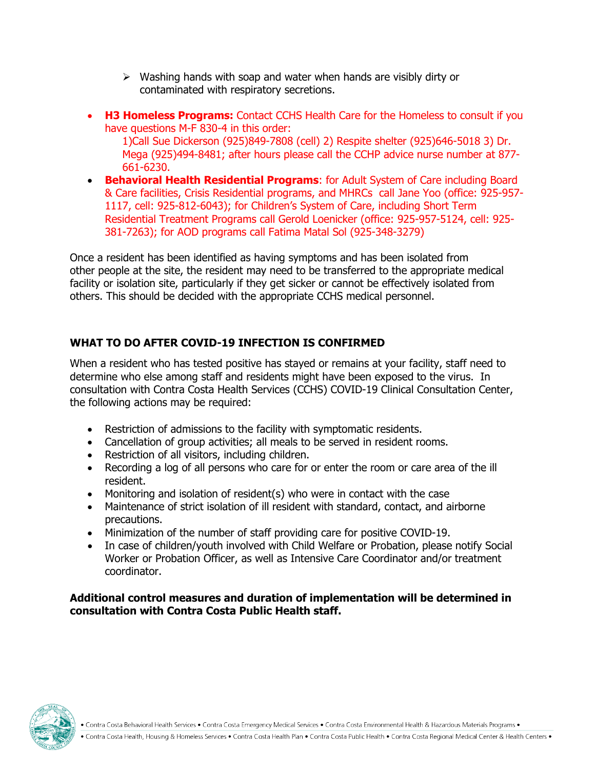- $\triangleright$  Washing hands with soap and water when hands are visibly dirty or contaminated with respiratory secretions.
- **H3 Homeless Programs:** Contact CCHS Health Care for the Homeless to consult if you have questions M-F 830-4 in this order:

1)Call Sue Dickerson (925)849-7808 (cell) 2) Respite shelter (925)646-5018 3) Dr. Mega (925)494-8481; after hours please call the CCHP advice nurse number at 877- 661-6230.

• **Behavioral Health Residential Programs**: for Adult System of Care including Board & Care facilities, Crisis Residential programs, and MHRCs call Jane Yoo (office: 925-957- 1117, cell: 925-812-6043); for Children's System of Care, including Short Term Residential Treatment Programs call Gerold Loenicker (office: 925-957-5124, cell: 925- 381-7263); for AOD programs call Fatima Matal Sol (925-348-3279)

Once a resident has been identified as having symptoms and has been isolated from other people at the site, the resident may need to be transferred to the appropriate medical facility or isolation site, particularly if they get sicker or cannot be effectively isolated from others. This should be decided with the appropriate CCHS medical personnel.

# **WHAT TO DO AFTER COVID-19 INFECTION IS CONFIRMED**

When a resident who has tested positive has stayed or remains at your facility, staff need to determine who else among staff and residents might have been exposed to the virus. In consultation with Contra Costa Health Services (CCHS) COVID-19 Clinical Consultation Center, the following actions may be required:

- Restriction of admissions to the facility with symptomatic residents.
- Cancellation of group activities; all meals to be served in resident rooms.
- Restriction of all visitors, including children.
- Recording a log of all persons who care for or enter the room or care area of the ill resident.
- Monitoring and isolation of resident(s) who were in contact with the case
- Maintenance of strict isolation of ill resident with standard, contact, and airborne precautions.
- Minimization of the number of staff providing care for positive COVID-19.
- In case of children/youth involved with Child Welfare or Probation, please notify Social Worker or Probation Officer, as well as Intensive Care Coordinator and/or treatment coordinator.

**Additional control measures and duration of implementation will be determined in consultation with Contra Costa Public Health staff.**



• Contra Costa Behavioral Health Services • Contra Costa Emergency Medical Services • Contra Costa Environmental Health & Hazardous Materials Programs •